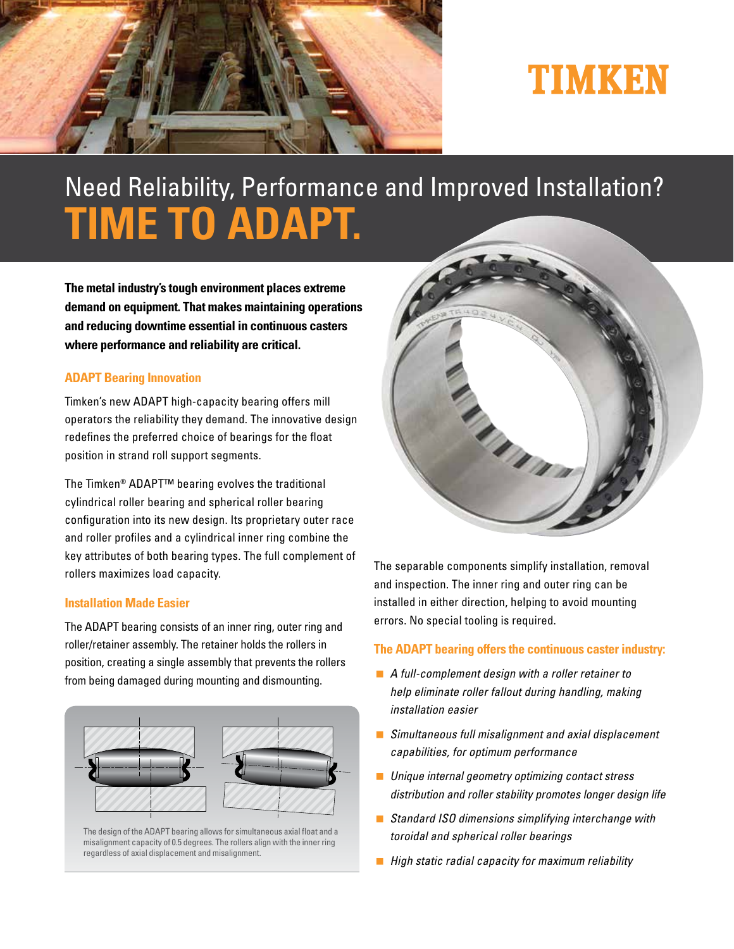

# TIMKEN

## Need Reliability, Performance and Improved Installation? **TIME TO ADAPT.**

**The metal industry's tough environment places extreme demand on equipment. That makes maintaining operations and reducing downtime essential in continuous casters where performance and reliability are critical.**

#### **ADAPT Bearing Innovation**

Timken's new ADAPT high-capacity bearing offers mill operators the reliability they demand. The innovative design redefines the preferred choice of bearings for the float position in strand roll support segments.

The Timken® ADAPT™ bearing evolves the traditional cylindrical roller bearing and spherical roller bearing configuration into its new design. Its proprietary outer race and roller profiles and a cylindrical inner ring combine the key attributes of both bearing types. The full complement of rollers maximizes load capacity.

#### **Installation Made Easier**

The ADAPT bearing consists of an inner ring, outer ring and roller/retainer assembly. The retainer holds the rollers in position, creating a single assembly that prevents the rollers from being damaged during mounting and dismounting.



The design of the ADAPT bearing allows for simultaneous axial float and a misalignment capacity of 0.5 degrees. The rollers align with the inner ring regardless of axial displacement and misalignment.



The separable components simplify installation, removal and inspection. The inner ring and outer ring can be installed in either direction, helping to avoid mounting errors. No special tooling is required.

#### **The ADAPT bearing offers the continuous caster industry:**

- A full-complement design with a roller retainer to help eliminate roller fallout during handling, making installation easier
- **Simultaneous full misalignment and axial displacement** capabilities, for optimum performance
- **Unique internal geometry optimizing contact stress** distribution and roller stability promotes longer design life
- Standard ISO dimensions simplifying interchange with toroidal and spherical roller bearings
- $\blacksquare$  High static radial capacity for maximum reliability